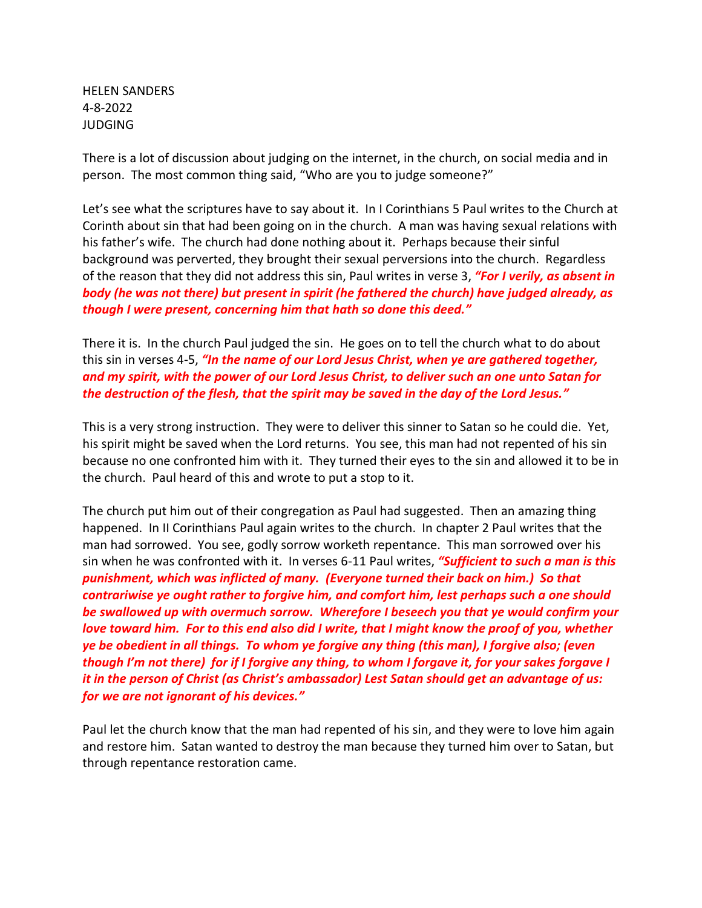HELEN SANDERS 4-8-2022 JUDGING

There is a lot of discussion about judging on the internet, in the church, on social media and in person. The most common thing said, "Who are you to judge someone?"

Let's see what the scriptures have to say about it. In I Corinthians 5 Paul writes to the Church at Corinth about sin that had been going on in the church. A man was having sexual relations with his father's wife. The church had done nothing about it. Perhaps because their sinful background was perverted, they brought their sexual perversions into the church. Regardless of the reason that they did not address this sin, Paul writes in verse 3, *"For I verily, as absent in body (he was not there) but present in spirit (he fathered the church) have judged already, as though I were present, concerning him that hath so done this deed."*

There it is. In the church Paul judged the sin. He goes on to tell the church what to do about this sin in verses 4-5, *"In the name of our Lord Jesus Christ, when ye are gathered together, and my spirit, with the power of our Lord Jesus Christ, to deliver such an one unto Satan for the destruction of the flesh, that the spirit may be saved in the day of the Lord Jesus."*

This is a very strong instruction. They were to deliver this sinner to Satan so he could die. Yet, his spirit might be saved when the Lord returns. You see, this man had not repented of his sin because no one confronted him with it. They turned their eyes to the sin and allowed it to be in the church. Paul heard of this and wrote to put a stop to it.

The church put him out of their congregation as Paul had suggested. Then an amazing thing happened. In II Corinthians Paul again writes to the church. In chapter 2 Paul writes that the man had sorrowed. You see, godly sorrow worketh repentance. This man sorrowed over his sin when he was confronted with it. In verses 6-11 Paul writes, *"Sufficient to such a man is this punishment, which was inflicted of many. (Everyone turned their back on him.) So that contrariwise ye ought rather to forgive him, and comfort him, lest perhaps such a one should be swallowed up with overmuch sorrow. Wherefore I beseech you that ye would confirm your love toward him. For to this end also did I write, that I might know the proof of you, whether ye be obedient in all things. To whom ye forgive any thing (this man), I forgive also; (even though I'm not there) for if I forgive any thing, to whom I forgave it, for your sakes forgave I it in the person of Christ (as Christ's ambassador) Lest Satan should get an advantage of us: for we are not ignorant of his devices."*

Paul let the church know that the man had repented of his sin, and they were to love him again and restore him. Satan wanted to destroy the man because they turned him over to Satan, but through repentance restoration came.